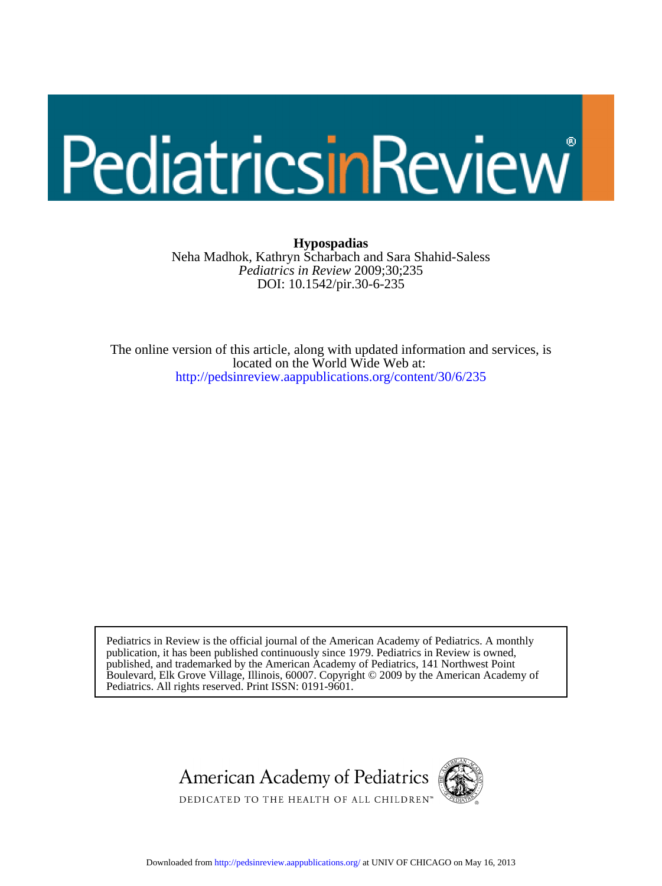# PediatricsinReview

DOI: 10.1542/pir.30-6-235 *Pediatrics in Review* 2009;30;235 Neha Madhok, Kathryn Scharbach and Sara Shahid-Saless **Hypospadias**

<http://pedsinreview.aappublications.org/content/30/6/235> located on the World Wide Web at: The online version of this article, along with updated information and services, is

Pediatrics. All rights reserved. Print ISSN: 0191-9601. Boulevard, Elk Grove Village, Illinois, 60007. Copyright © 2009 by the American Academy of published, and trademarked by the American Academy of Pediatrics, 141 Northwest Point publication, it has been published continuously since 1979. Pediatrics in Review is owned, Pediatrics in Review is the official journal of the American Academy of Pediatrics. A monthly



Downloaded from<http://pedsinreview.aappublications.org/>at UNIV OF CHICAGO on May 16, 2013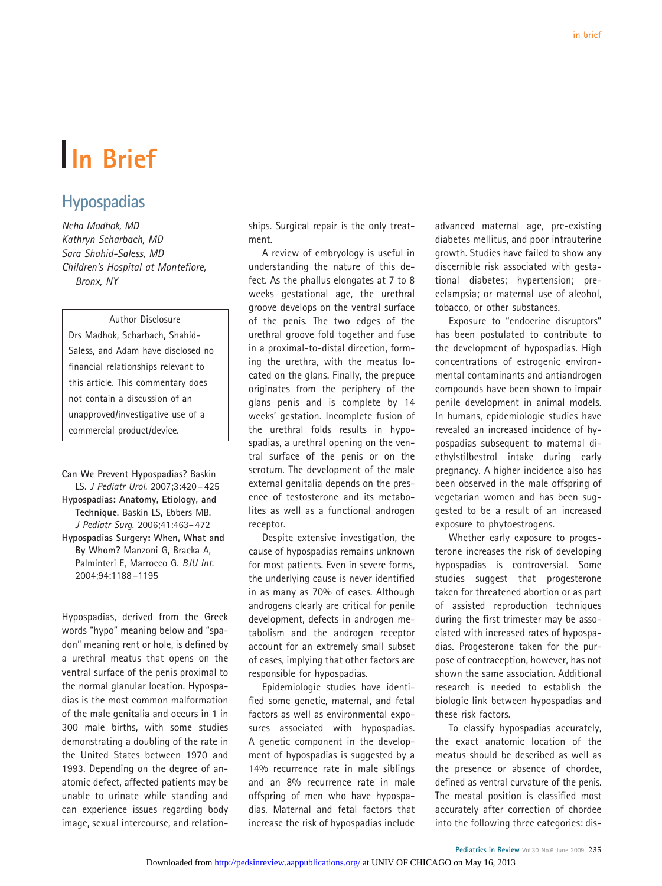# **In Brief**

## **Hypospadias**

*Neha Madhok, MD Kathryn Scharbach, MD Sara Shahid-Saless, MD Children's Hospital at Montefiore, Bronx, NY*

Author Disclosure Drs Madhok, Scharbach, Shahid-Saless, and Adam have disclosed no financial relationships relevant to this article. This commentary does not contain a discussion of an unapproved/investigative use of a commercial product/device.

**Can We Prevent Hypospadias**? Baskin LS. *J Pediatr Urol.* 2007;3:420 – 425 **Hypospadias: Anatomy, Etiology, and Technique**. Baskin LS, Ebbers MB. *J Pediatr Surg*. 2006;41:463– 472 **Hypospadias Surgery: When, What and By Whom?** Manzoni G, Bracka A, Palminteri E, Marrocco G. *BJU Int*. 2004;94:1188 –1195

Hypospadias, derived from the Greek words "hypo" meaning below and "spadon" meaning rent or hole, is defined by a urethral meatus that opens on the ventral surface of the penis proximal to the normal glanular location. Hypospadias is the most common malformation of the male genitalia and occurs in 1 in 300 male births, with some studies demonstrating a doubling of the rate in the United States between 1970 and 1993. Depending on the degree of anatomic defect, affected patients may be unable to urinate while standing and can experience issues regarding body image, sexual intercourse, and relationships. Surgical repair is the only treatment.

A review of embryology is useful in understanding the nature of this defect. As the phallus elongates at 7 to 8 weeks gestational age, the urethral groove develops on the ventral surface of the penis. The two edges of the urethral groove fold together and fuse in a proximal-to-distal direction, forming the urethra, with the meatus located on the glans. Finally, the prepuce originates from the periphery of the glans penis and is complete by 14 weeks' gestation. Incomplete fusion of the urethral folds results in hypospadias, a urethral opening on the ventral surface of the penis or on the scrotum. The development of the male external genitalia depends on the presence of testosterone and its metabolites as well as a functional androgen receptor.

Despite extensive investigation, the cause of hypospadias remains unknown for most patients. Even in severe forms, the underlying cause is never identified in as many as 70% of cases. Although androgens clearly are critical for penile development, defects in androgen metabolism and the androgen receptor account for an extremely small subset of cases, implying that other factors are responsible for hypospadias.

Epidemiologic studies have identified some genetic, maternal, and fetal factors as well as environmental exposures associated with hypospadias. A genetic component in the development of hypospadias is suggested by a 14% recurrence rate in male siblings and an 8% recurrence rate in male offspring of men who have hypospadias. Maternal and fetal factors that increase the risk of hypospadias include

advanced maternal age, pre-existing diabetes mellitus, and poor intrauterine growth. Studies have failed to show any discernible risk associated with gestational diabetes; hypertension; preeclampsia; or maternal use of alcohol, tobacco, or other substances.

Exposure to "endocrine disruptors" has been postulated to contribute to the development of hypospadias. High concentrations of estrogenic environmental contaminants and antiandrogen compounds have been shown to impair penile development in animal models. In humans, epidemiologic studies have revealed an increased incidence of hypospadias subsequent to maternal diethylstilbestrol intake during early pregnancy. A higher incidence also has been observed in the male offspring of vegetarian women and has been suggested to be a result of an increased exposure to phytoestrogens.

Whether early exposure to progesterone increases the risk of developing hypospadias is controversial. Some studies suggest that progesterone taken for threatened abortion or as part of assisted reproduction techniques during the first trimester may be associated with increased rates of hypospadias. Progesterone taken for the purpose of contraception, however, has not shown the same association. Additional research is needed to establish the biologic link between hypospadias and these risk factors.

To classify hypospadias accurately, the exact anatomic location of the meatus should be described as well as the presence or absence of chordee, defined as ventral curvature of the penis. The meatal position is classified most accurately after correction of chordee into the following three categories: dis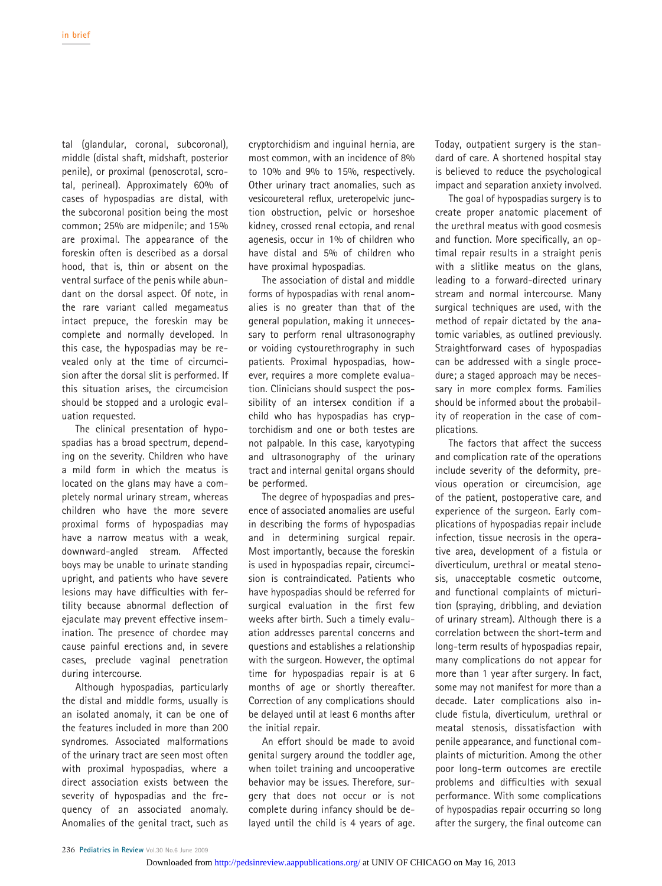tal (glandular, coronal, subcoronal), middle (distal shaft, midshaft, posterior penile), or proximal (penoscrotal, scrotal, perineal). Approximately 60% of cases of hypospadias are distal, with the subcoronal position being the most common; 25% are midpenile; and 15% are proximal. The appearance of the foreskin often is described as a dorsal hood, that is, thin or absent on the ventral surface of the penis while abundant on the dorsal aspect. Of note, in the rare variant called megameatus intact prepuce, the foreskin may be complete and normally developed. In this case, the hypospadias may be revealed only at the time of circumcision after the dorsal slit is performed. If this situation arises, the circumcision should be stopped and a urologic evaluation requested.

The clinical presentation of hypospadias has a broad spectrum, depending on the severity. Children who have a mild form in which the meatus is located on the glans may have a completely normal urinary stream, whereas children who have the more severe proximal forms of hypospadias may have a narrow meatus with a weak, downward-angled stream. Affected boys may be unable to urinate standing upright, and patients who have severe lesions may have difficulties with fertility because abnormal deflection of ejaculate may prevent effective insemination. The presence of chordee may cause painful erections and, in severe cases, preclude vaginal penetration during intercourse.

Although hypospadias, particularly the distal and middle forms, usually is an isolated anomaly, it can be one of the features included in more than 200 syndromes. Associated malformations of the urinary tract are seen most often with proximal hypospadias, where a direct association exists between the severity of hypospadias and the frequency of an associated anomaly. Anomalies of the genital tract, such as cryptorchidism and inguinal hernia, are most common, with an incidence of 8% to 10% and 9% to 15%, respectively. Other urinary tract anomalies, such as vesicoureteral reflux, ureteropelvic junction obstruction, pelvic or horseshoe kidney, crossed renal ectopia, and renal agenesis, occur in 1% of children who have distal and 5% of children who have proximal hypospadias.

The association of distal and middle forms of hypospadias with renal anomalies is no greater than that of the general population, making it unnecessary to perform renal ultrasonography or voiding cystourethrography in such patients. Proximal hypospadias, however, requires a more complete evaluation. Clinicians should suspect the possibility of an intersex condition if a child who has hypospadias has cryptorchidism and one or both testes are not palpable. In this case, karyotyping and ultrasonography of the urinary tract and internal genital organs should be performed.

The degree of hypospadias and presence of associated anomalies are useful in describing the forms of hypospadias and in determining surgical repair. Most importantly, because the foreskin is used in hypospadias repair, circumcision is contraindicated. Patients who have hypospadias should be referred for surgical evaluation in the first few weeks after birth. Such a timely evaluation addresses parental concerns and questions and establishes a relationship with the surgeon. However, the optimal time for hypospadias repair is at 6 months of age or shortly thereafter. Correction of any complications should be delayed until at least 6 months after the initial repair.

An effort should be made to avoid genital surgery around the toddler age, when toilet training and uncooperative behavior may be issues. Therefore, surgery that does not occur or is not complete during infancy should be delayed until the child is 4 years of age. Today, outpatient surgery is the standard of care. A shortened hospital stay is believed to reduce the psychological impact and separation anxiety involved.

The goal of hypospadias surgery is to create proper anatomic placement of the urethral meatus with good cosmesis and function. More specifically, an optimal repair results in a straight penis with a slitlike meatus on the glans, leading to a forward-directed urinary stream and normal intercourse. Many surgical techniques are used, with the method of repair dictated by the anatomic variables, as outlined previously. Straightforward cases of hypospadias can be addressed with a single procedure; a staged approach may be necessary in more complex forms. Families should be informed about the probability of reoperation in the case of complications.

The factors that affect the success and complication rate of the operations include severity of the deformity, previous operation or circumcision, age of the patient, postoperative care, and experience of the surgeon. Early complications of hypospadias repair include infection, tissue necrosis in the operative area, development of a fistula or diverticulum, urethral or meatal stenosis, unacceptable cosmetic outcome, and functional complaints of micturition (spraying, dribbling, and deviation of urinary stream). Although there is a correlation between the short-term and long-term results of hypospadias repair, many complications do not appear for more than 1 year after surgery. In fact, some may not manifest for more than a decade. Later complications also include fistula, diverticulum, urethral or meatal stenosis, dissatisfaction with penile appearance, and functional complaints of micturition. Among the other poor long-term outcomes are erectile problems and difficulties with sexual performance. With some complications of hypospadias repair occurring so long after the surgery, the final outcome can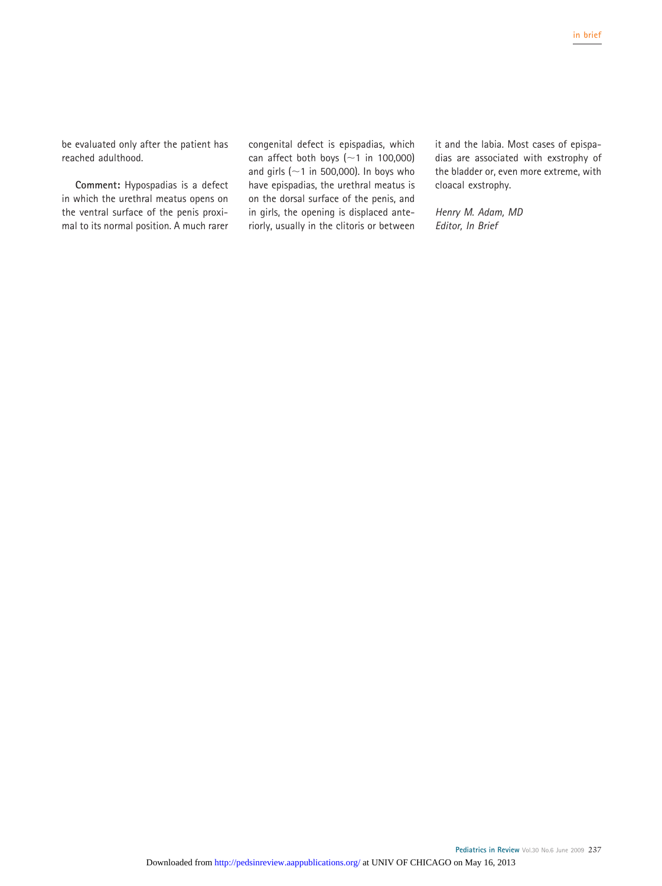be evaluated only after the patient has reached adulthood.

**Comment:** Hypospadias is a defect in which the urethral meatus opens on the ventral surface of the penis proximal to its normal position. A much rarer

congenital defect is epispadias, which can affect both boys  $(-1 \text{ in } 100,000)$ and girls ( $\sim$ 1 in 500,000). In boys who have epispadias, the urethral meatus is on the dorsal surface of the penis, and in girls, the opening is displaced anteriorly, usually in the clitoris or between

it and the labia. Most cases of epispadias are associated with exstrophy of the bladder or, even more extreme, with cloacal exstrophy.

*Henry M. Adam, MD Editor, In Brief*